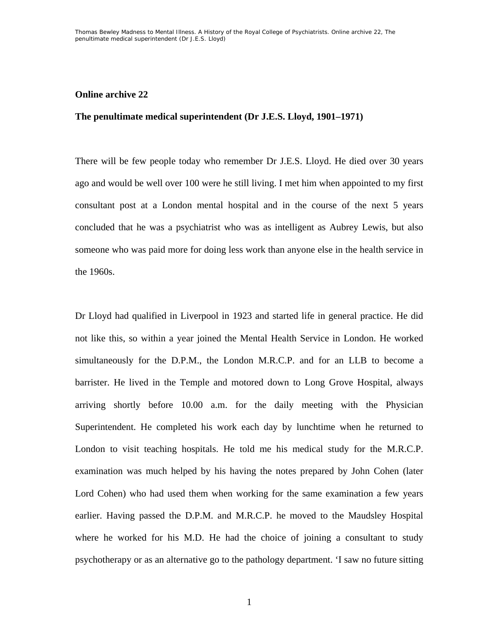## **Online archive 22**

## **The penultimate medical superintendent (Dr J.E.S. Lloyd, 1901–1971)**

There will be few people today who remember Dr J.E.S. Lloyd. He died over 30 years ago and would be well over 100 were he still living. I met him when appointed to my first consultant post at a London mental hospital and in the course of the next 5 years concluded that he was a psychiatrist who was as intelligent as Aubrey Lewis, but also someone who was paid more for doing less work than anyone else in the health service in the 1960s.

Dr Lloyd had qualified in Liverpool in 1923 and started life in general practice. He did not like this, so within a year joined the Mental Health Service in London. He worked simultaneously for the D.P.M., the London M.R.C.P. and for an LLB to become a barrister. He lived in the Temple and motored down to Long Grove Hospital, always arriving shortly before 10.00 a.m. for the daily meeting with the Physician Superintendent. He completed his work each day by lunchtime when he returned to London to visit teaching hospitals. He told me his medical study for the M.R.C.P. examination was much helped by his having the notes prepared by John Cohen (later Lord Cohen) who had used them when working for the same examination a few years earlier. Having passed the D.P.M. and M.R.C.P. he moved to the Maudsley Hospital where he worked for his M.D. He had the choice of joining a consultant to study psychotherapy or as an alternative go to the pathology department. 'I saw no future sitting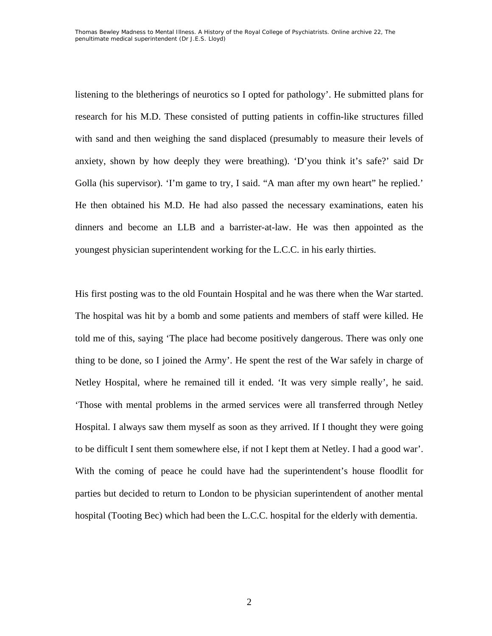listening to the bletherings of neurotics so I opted for pathology'. He submitted plans for research for his M.D. These consisted of putting patients in coffin-like structures filled with sand and then weighing the sand displaced (presumably to measure their levels of anxiety, shown by how deeply they were breathing). 'D'you think it's safe?' said Dr Golla (his supervisor). 'I'm game to try, I said. "A man after my own heart" he replied.' He then obtained his M.D. He had also passed the necessary examinations, eaten his dinners and become an LLB and a barrister-at-law. He was then appointed as the youngest physician superintendent working for the L.C.C. in his early thirties.

His first posting was to the old Fountain Hospital and he was there when the War started. The hospital was hit by a bomb and some patients and members of staff were killed. He told me of this, saying 'The place had become positively dangerous. There was only one thing to be done, so I joined the Army'. He spent the rest of the War safely in charge of Netley Hospital, where he remained till it ended. 'It was very simple really', he said. 'Those with mental problems in the armed services were all transferred through Netley Hospital. I always saw them myself as soon as they arrived. If I thought they were going to be difficult I sent them somewhere else, if not I kept them at Netley. I had a good war'. With the coming of peace he could have had the superintendent's house floodlit for parties but decided to return to London to be physician superintendent of another mental hospital (Tooting Bec) which had been the L.C.C. hospital for the elderly with dementia.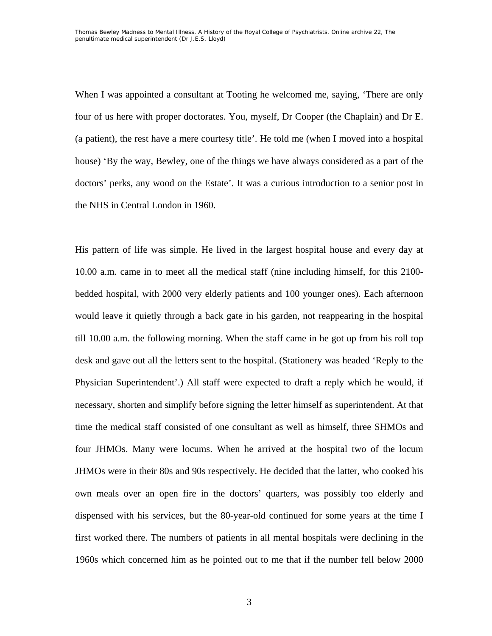When I was appointed a consultant at Tooting he welcomed me, saying, 'There are only four of us here with proper doctorates. You, myself, Dr Cooper (the Chaplain) and Dr E. (a patient), the rest have a mere courtesy title'. He told me (when I moved into a hospital house) 'By the way, Bewley, one of the things we have always considered as a part of the doctors' perks, any wood on the Estate'. It was a curious introduction to a senior post in the NHS in Central London in 1960.

His pattern of life was simple. He lived in the largest hospital house and every day at 10.00 a.m. came in to meet all the medical staff (nine including himself, for this 2100 bedded hospital, with 2000 very elderly patients and 100 younger ones). Each afternoon would leave it quietly through a back gate in his garden, not reappearing in the hospital till 10.00 a.m. the following morning. When the staff came in he got up from his roll top desk and gave out all the letters sent to the hospital. (Stationery was headed 'Reply to the Physician Superintendent'.) All staff were expected to draft a reply which he would, if necessary, shorten and simplify before signing the letter himself as superintendent. At that time the medical staff consisted of one consultant as well as himself, three SHMOs and four JHMOs. Many were locums. When he arrived at the hospital two of the locum JHMOs were in their 80s and 90s respectively. He decided that the latter, who cooked his own meals over an open fire in the doctors' quarters, was possibly too elderly and dispensed with his services, but the 80-year-old continued for some years at the time I first worked there. The numbers of patients in all mental hospitals were declining in the 1960s which concerned him as he pointed out to me that if the number fell below 2000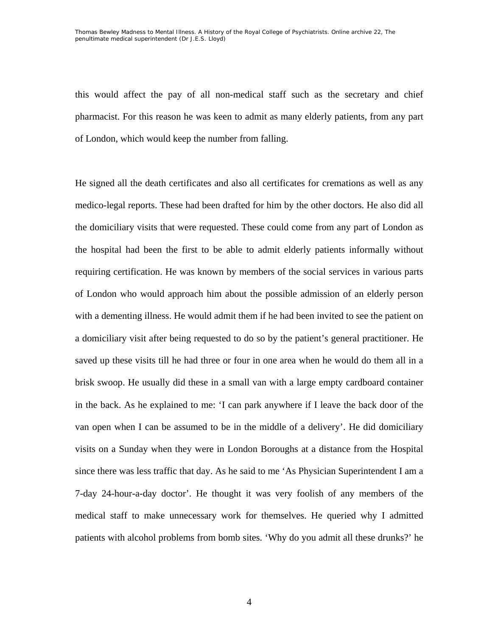this would affect the pay of all non-medical staff such as the secretary and chief pharmacist. For this reason he was keen to admit as many elderly patients, from any part of London, which would keep the number from falling.

He signed all the death certificates and also all certificates for cremations as well as any medico-legal reports. These had been drafted for him by the other doctors. He also did all the domiciliary visits that were requested. These could come from any part of London as the hospital had been the first to be able to admit elderly patients informally without requiring certification. He was known by members of the social services in various parts of London who would approach him about the possible admission of an elderly person with a dementing illness. He would admit them if he had been invited to see the patient on a domiciliary visit after being requested to do so by the patient's general practitioner. He saved up these visits till he had three or four in one area when he would do them all in a brisk swoop. He usually did these in a small van with a large empty cardboard container in the back. As he explained to me: 'I can park anywhere if I leave the back door of the van open when I can be assumed to be in the middle of a delivery'. He did domiciliary visits on a Sunday when they were in London Boroughs at a distance from the Hospital since there was less traffic that day. As he said to me 'As Physician Superintendent I am a 7-day 24-hour-a-day doctor'. He thought it was very foolish of any members of the medical staff to make unnecessary work for themselves. He queried why I admitted patients with alcohol problems from bomb sites. 'Why do you admit all these drunks?' he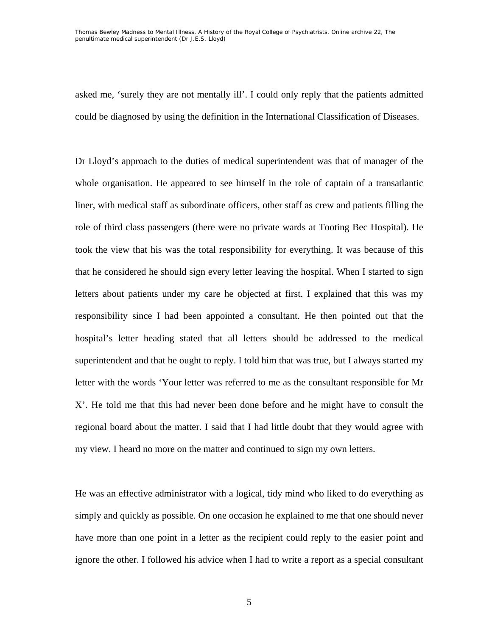Thomas Bewley *Madness to Mental Illness. A History of the Royal College of Psychiatrists*. Online archive 22, *The penultimate medical superintendent (Dr J.E.S. Lloyd)*

asked me, 'surely they are not mentally ill'. I could only reply that the patients admitted could be diagnosed by using the definition in the International Classification of Diseases.

Dr Lloyd's approach to the duties of medical superintendent was that of manager of the whole organisation. He appeared to see himself in the role of captain of a transatlantic liner, with medical staff as subordinate officers, other staff as crew and patients filling the role of third class passengers (there were no private wards at Tooting Bec Hospital). He took the view that his was the total responsibility for everything. It was because of this that he considered he should sign every letter leaving the hospital. When I started to sign letters about patients under my care he objected at first. I explained that this was my responsibility since I had been appointed a consultant. He then pointed out that the hospital's letter heading stated that all letters should be addressed to the medical superintendent and that he ought to reply. I told him that was true, but I always started my letter with the words 'Your letter was referred to me as the consultant responsible for Mr X'. He told me that this had never been done before and he might have to consult the regional board about the matter. I said that I had little doubt that they would agree with my view. I heard no more on the matter and continued to sign my own letters.

He was an effective administrator with a logical, tidy mind who liked to do everything as simply and quickly as possible. On one occasion he explained to me that one should never have more than one point in a letter as the recipient could reply to the easier point and ignore the other. I followed his advice when I had to write a report as a special consultant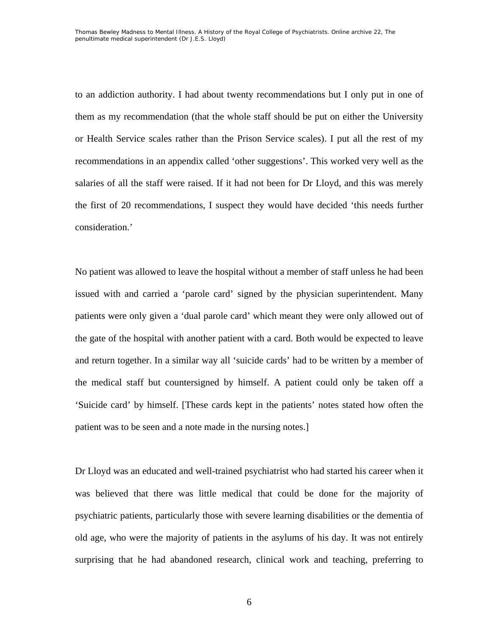to an addiction authority. I had about twenty recommendations but I only put in one of them as my recommendation (that the whole staff should be put on either the University or Health Service scales rather than the Prison Service scales). I put all the rest of my recommendations in an appendix called 'other suggestions'. This worked very well as the salaries of all the staff were raised. If it had not been for Dr Lloyd, and this was merely the first of 20 recommendations, I suspect they would have decided 'this needs further consideration.'

No patient was allowed to leave the hospital without a member of staff unless he had been issued with and carried a 'parole card' signed by the physician superintendent. Many patients were only given a 'dual parole card' which meant they were only allowed out of the gate of the hospital with another patient with a card. Both would be expected to leave and return together. In a similar way all 'suicide cards' had to be written by a member of the medical staff but countersigned by himself. A patient could only be taken off a 'Suicide card' by himself. [These cards kept in the patients' notes stated how often the patient was to be seen and a note made in the nursing notes.]

Dr Lloyd was an educated and well-trained psychiatrist who had started his career when it was believed that there was little medical that could be done for the majority of psychiatric patients, particularly those with severe learning disabilities or the dementia of old age, who were the majority of patients in the asylums of his day. It was not entirely surprising that he had abandoned research, clinical work and teaching, preferring to